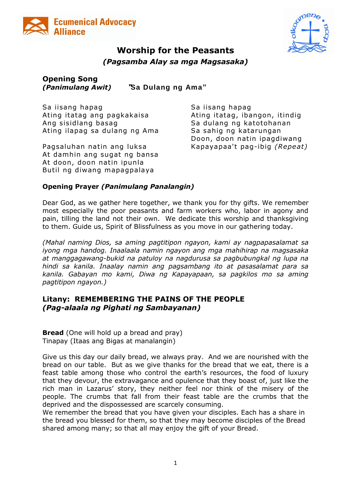



# **Worship for the Peasants**

*(Pagsamba Alay sa mga Magsasaka)*

## **Opening Song** *(Panimulang Awit)* **"Sa Dulang ng Ama"**

Sa iisang hapag Sa iisang hapag Ating itatag ang pagkakaisa atawa Ating itatag, ibangon, itindig Ang sisidlang basag Sa dulang ng kato tohanan Ating ilapag sa dulang ng Ama Sa sahig ng katarungan

Pagsaluhan natin ang luksa Kapayapaa't pag-ibig *(Repeat)* At damhin ang sugat ng bansa At doon, doon natin ipunla Butil ng diwang mapagpalaya

Doon, doon natin ipagdiwang

## **Opening Prayer** *(Panimulang Panalangin)*

Dear God, as we gather here together, we thank you for thy gifts. We remember most especially the poor peasants and farm workers who, labor in agony and pain, tilling the land not their own. We dedicate this worship and thanksgiving to them. Guide us, Spirit of Blissfulness as you move in our gathering today.

*(Mahal naming Dios, sa aming pagtitipon ngayon, kami ay nagpapasalamat sa iyong mga handog. Inaalaala namin ngayon ang mga mahihirap na magsasaka at manggagawang-bukid na patuloy na nagdurusa sa pagbubungkal ng lupa na hindi sa kanila. Inaalay namin ang pagsambang ito at pasasalamat para sa kanila. Gabayan mo kami, Diwa ng Kapayapaan, sa pagkilos mo sa aming pagtitipon ngayon.)*

## **Litany: REMEMBERING THE PAINS OF THE PEOPLE** *(Pag-alaala ng Pighati ng Sambayanan)*

**Bread** (One will hold up a bread and pray) Tinapay (Itaas ang Bigas at manalangin)

Give us this day our daily bread, we always pray. And we are nourished with the bread on our table. But as we give thanks for the bread that we eat, there is a feast table among those who control the earth's resources, the food of luxury that they devour, the extravagance and opulence that they boast of, just like the rich man in Lazarus' story, they neither feel nor think of the misery of the people. The crumbs that fall from their feast table are the crumbs that the deprived and the dispossessed are scarcely consuming.

We remember the bread that you have given your disciples. Each has a share in the bread you blessed for them, so that they may become disciples of the Bread shared among many; so that all may enjoy the gift of your Bread.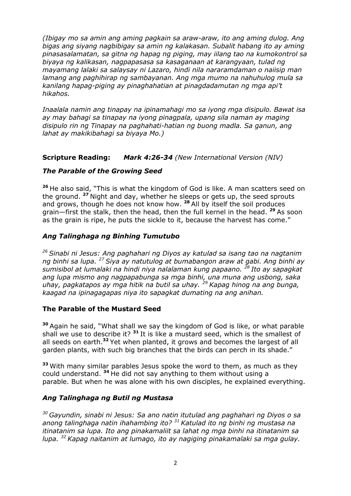*(Ibigay mo sa amin ang aming pagkain sa araw-araw, ito ang aming dulog. Ang bigas ang siyang nagbibigay sa amin ng kalakasan. Subalit habang ito ay aming pinasasalamatan, sa gitna ng hapag ng piging, may iilang tao na kumokontrol sa biyaya ng kalikasan, nagpapasasa sa kasaganaan at karangyaan, tulad ng mayamang lalaki sa salaysay ni Lazaro, hindi nila nararamdaman o naiisip man lamang ang paghihirap ng sambayanan. Ang mga mumo na nahuhulog mula sa kanilang hapag-piging ay pinaghahatian at pinagdadamutan ng mga api't hikahos.*

*Inaalala namin ang tinapay na ipinamahagi mo sa iyong mga disipulo. Bawat isa ay may bahagi sa tinapay na iyong pinagpala, upang sila naman ay maging disipulo rin ng Tinapay na paghahati-hatian ng buong madla. Sa ganun, ang lahat ay makikibahagi sa biyaya Mo.)*

## **Scripture Reading:** *Mark 4:26-34 (New International Version (NIV)*

## *The Parable of the Growing Seed*

**<sup>26</sup>** He also said, "This is what the kingdom of God is like. A man scatters seed on the ground. **<sup>27</sup>** Night and day, whether he sleeps or gets up, the seed sprouts and grows, though he does not know how. **<sup>28</sup>** All by itself the soil produces grain—first the stalk, then the head, then the full kernel in the head. **<sup>29</sup>** As soon as the grain is ripe, he puts the sickle to it, because the harvest has come."

## *Ang Talinghaga ng Binhing Tumutubo*

*<sup>26</sup> Sinabi ni Jesus: Ang paghahari ng Diyos ay katulad sa isang tao na nagtanim ng binhi sa lupa. <sup>27</sup> Siya ay natutulog at bumabangon araw at gabi. Ang binhi ay sumisibol at lumalaki na hindi niya nalalaman kung papaano. <sup>28</sup> Ito ay sapagkat ang lupa mismo ang nagpapabunga sa mga binhi, una muna ang usbong, saka uhay, pagkatapos ay mga hitik na butil sa uhay. <sup>29</sup> Kapag hinog na ang bunga, kaagad na ipinagagapas niya ito sapagkat dumating na ang anihan.*

#### **The Parable of the Mustard Seed**

**<sup>30</sup>** Again he said, "What shall we say the kingdom of God is like, or what parable shall we use to describe it? **<sup>31</sup>** It is like a mustard seed, which is the smallest of all seeds on earth.**<sup>32</sup>** Yet when planted, it grows and becomes the largest of all garden plants, with such big branches that the birds can perch in its shade."

**<sup>33</sup>** With many similar parables Jesus spoke the word to them, as much as they could understand. **<sup>34</sup>** He did not say anything to them without using a parable. But when he was alone with his own disciples, he explained everything.

#### *Ang Talinghaga ng Butil ng Mustasa*

*<sup>30</sup> Gayundin, sinabi ni Jesus: Sa ano natin itutulad ang paghahari ng Diyos o sa anong talinghaga natin ihahambing ito? <sup>31</sup> Katulad ito ng binhi ng mustasa na itinatanim sa lupa. Ito ang pinakamaliit sa lahat ng mga binhi na itinatanim sa lupa. <sup>32</sup> Kapag naitanim at lumago, ito ay nagiging pinakamalaki sa mga gulay.*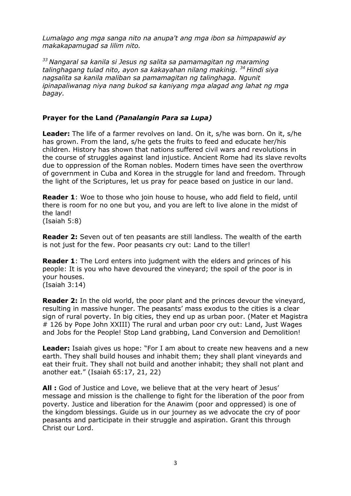*Lumalago ang mga sanga nito na anupa't ang mga ibon sa himpapawid ay makakapamugad sa lilim nito.* 

*<sup>33</sup> Nangaral sa kanila si Jesus ng salita sa pamamagitan ng maraming talinghagang tulad nito, ayon sa kakayahan nilang makinig. <sup>34</sup> Hindi siya nagsalita sa kanila maliban sa pamamagitan ng talinghaga. Ngunit ipinapaliwanag niya nang bukod sa kaniyang mga alagad ang lahat ng mga bagay.*

#### **Prayer for the Land** *(Panalangin Para sa Lupa)*

**Leader:** The life of a farmer revolves on land. On it, s/he was born. On it, s/he has grown. From the land, s/he gets the fruits to feed and educate her/his children. History has shown that nations suffered civil wars and revolutions in the course of struggles against land injustice. Ancient Rome had its slave revolts due to oppression of the Roman nobles. Modern times have seen the overthrow of government in Cuba and Korea in the struggle for land and freedom. Through the light of the Scriptures, let us pray for peace based on justice in our land.

**Reader 1:** Woe to those who join house to house, who add field to field, until there is room for no one but you, and you are left to live alone in the midst of the land! (Isaiah 5:8)

**Reader 2:** Seven out of ten peasants are still landless. The wealth of the earth is not just for the few. Poor peasants cry out: Land to the tiller!

**Reader 1**: The Lord enters into judgment with the elders and princes of his people: It is you who have devoured the vineyard; the spoil of the poor is in your houses. (Isaiah 3:14)

**Reader 2:** In the old world, the poor plant and the princes devour the vineyard, resulting in massive hunger. The peasants' mass exodus to the cities is a clear sign of rural poverty. In big cities, they end up as urban poor. (Mater et Magistra # 126 by Pope John XXIII) The rural and urban poor cry out: Land, Just Wages and Jobs for the People! Stop Land grabbing, Land Conversion and Demolition!

**Leader:** Isaiah gives us hope: "For I am about to create new heavens and a new earth. They shall build houses and inhabit them; they shall plant vineyards and eat their fruit. They shall not build and another inhabit; they shall not plant and another eat." (Isaiah 65:17, 21, 22)

**All :** God of Justice and Love, we believe that at the very heart of Jesus' message and mission is the challenge to fight for the liberation of the poor from poverty. Justice and liberation for the Anawim (poor and oppressed) is one of the kingdom blessings. Guide us in our journey as we advocate the cry of poor peasants and participate in their struggle and aspiration. Grant this through Christ our Lord.